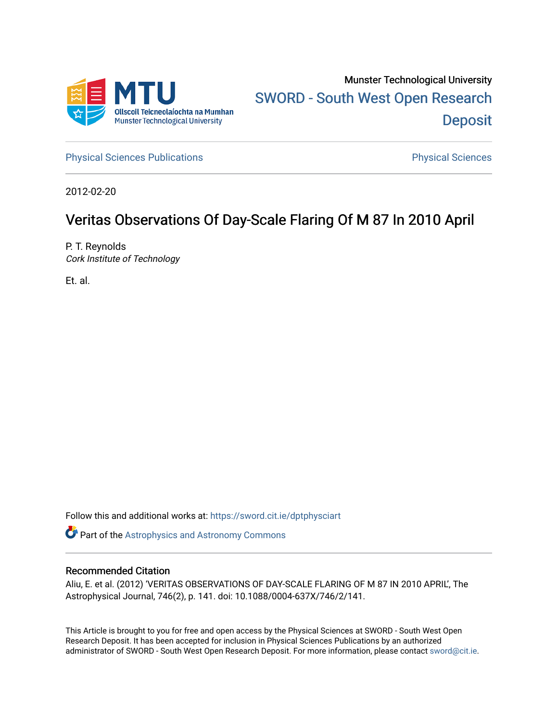

[Physical Sciences Publications](https://sword.cit.ie/dptphysciart) **Physical Sciences** Physical Sciences

2012-02-20

# Veritas Observations Of Day-Scale Flaring Of M 87 In 2010 April

P. T. Reynolds Cork Institute of Technology

Et. al.

Follow this and additional works at: [https://sword.cit.ie/dptphysciart](https://sword.cit.ie/dptphysciart?utm_source=sword.cit.ie%2Fdptphysciart%2F67&utm_medium=PDF&utm_campaign=PDFCoverPages)

Part of the [Astrophysics and Astronomy Commons](http://network.bepress.com/hgg/discipline/123?utm_source=sword.cit.ie%2Fdptphysciart%2F67&utm_medium=PDF&utm_campaign=PDFCoverPages) 

## Recommended Citation

Aliu, E. et al. (2012) 'VERITAS OBSERVATIONS OF DAY-SCALE FLARING OF M 87 IN 2010 APRIL', The Astrophysical Journal, 746(2), p. 141. doi: 10.1088/0004-637X/746/2/141.

This Article is brought to you for free and open access by the Physical Sciences at SWORD - South West Open Research Deposit. It has been accepted for inclusion in Physical Sciences Publications by an authorized administrator of SWORD - South West Open Research Deposit. For more information, please contact [sword@cit.ie.](mailto:sword@cit.ie)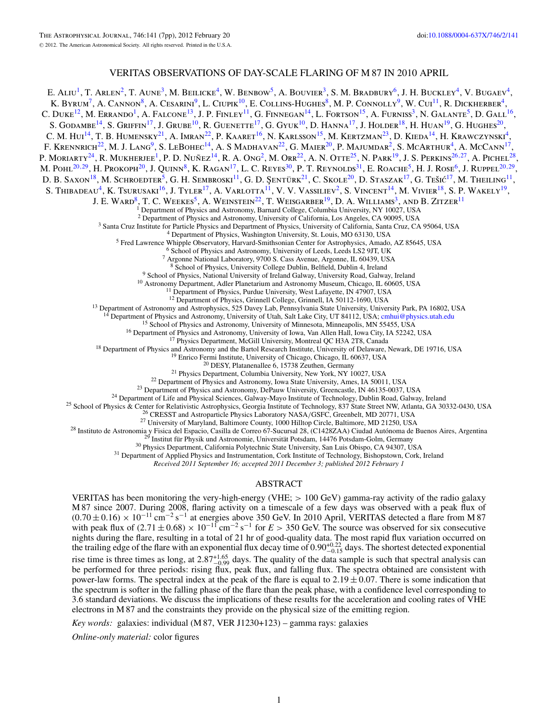## VERITAS OBSERVATIONS OF DAY-SCALE FLARING OF M 87 IN 2010 APRIL

E. ALIU<sup>1</sup>, T. Arlen<sup>2</sup>, T. Aune<sup>3</sup>, M. Beilicke<sup>4</sup>, W. Benbow<sup>5</sup>, A. Bouvier<sup>3</sup>, S. M. Bradbury<sup>6</sup>, J. H. Buckley<sup>4</sup>, V. Bugaev<sup>4</sup>, K. BYRUM<sup>7</sup>, A. CANNON<sup>8</sup>, A. CESARINI<sup>9</sup>, L. CIUPIK<sup>10</sup>, E. COLLINS-HUGHES<sup>8</sup>, M. P. CONNOLLY<sup>9</sup>, W. CUI<sup>11</sup>, R. DICKHERBER<sup>4</sup>, C. Duke<sup>12</sup>, M. Errando<sup>1</sup>, A. Falcone<sup>13</sup>, J. P. Finley<sup>11</sup>, G. Finnegan<sup>14</sup>, L. Fortson<sup>15</sup>, A. Furniss<sup>3</sup>, N. Galante<sup>5</sup>, D. Gall<sup>16</sup>, S. Godambe<sup>14</sup>, S. Griffin<sup>17</sup>, J. Grube<sup>10</sup>, R. Guenette<sup>17</sup>, G. Gyuk<sup>10</sup>, D. Hanna<sup>17</sup>, J. Holder<sup>18</sup>, H. Huan<sup>19</sup>, G. Hughes<sup>20</sup>, C. M. Hui<sup>14</sup>, T. B. Humensky<sup>21</sup>, A. Imran<sup>22</sup>, P. Kaaret<sup>16</sup>, N. Karlsson<sup>15</sup>, M. Kertzman<sup>23</sup>, D. Kieda<sup>14</sup>, H. Krawczynski<sup>4</sup>, F. KRENNRICH<sup>22</sup>, M. J. LANG<sup>9</sup>, S. LEBOHEC<sup>14</sup>, A. S MADHAVAN<sup>22</sup>, G. MAIER<sup>20</sup>, P. MAJUMDAR<sup>2</sup>, S. MCARTHUR<sup>4</sup>, A. McCann<sup>17</sup>, P. MORIARTY<sup>24</sup>, R. MUKHERJEE<sup>1</sup>, P. D. NUÑEZ<sup>14</sup>, R. A. Ong<sup>2</sup>, M. Orr<sup>22</sup>, A. N. Otte<sup>25</sup>, N. Park<sup>19</sup>, J. S. Perkins<sup>26,27</sup>, A. Pichel<sup>28</sup>, M. Pohl<sup>20</sup>, <sup>20</sup>, 29, H. Prokoph<sup>20</sup>, J. Quinn<sup>8</sup>, K. Ragan<sup>17</sup>, L. C. Reyes<sup>30</sup>, P. T. Reynolds<sup>31</sup>, E. Roache<sup>5</sup>, H. J. Rose<sup>6</sup>, J. Ruppel<sup>20, 29</sup>, D. B. SAXON<sup>18</sup>, M. SCHROEDTER<sup>5</sup>, G. H. SEMBROSKI<sup>11</sup>, G. D. ŞENTÜRK<sup>21</sup>, C. SKOLE<sup>20</sup>, D. STASZAK<sup>17</sup>, G. TEŠIĆ<sup>17</sup>, M. THEILING<sup>11</sup>, S. THIBADEAU<sup>4</sup>, K. TSURUSAKI<sup>16</sup>, J. TYLER<sup>17</sup>, A. VARLOTTA<sup>11</sup>, V. V. VASSILIEV<sup>2</sup>, S. VINCENT<sup>14</sup>, M. VIVIER<sup>18</sup>, S. P. WAKELY<sup>19</sup>, J. E. WARD<sup>8</sup>, T. C. WEEKES<sup>5</sup>, A. WEINSTEIN<sup>22</sup>, T. WEISGARBER<sup>19</sup>, D. A. WILLIAMS<sup>3</sup>, AND B. ZITZER<sup>11</sup>  $1$  Department of Physics and Astronomy, Barnard College, Columbia University, NY 10027, USA  $2$  Department of Physics and Astronomy, University of California, Los Angeles, CA 90095, USA <sup>3</sup> Santa Cruz Institute for Particle Physics and Department of Physics, University of California, Santa Cruz, CA 95064, USA  $4$  Department of Physics, Washington University, St. Louis, MO 63130, USA  $5$  Fred Lawrence Whi <sup>9</sup> School of Physics, National University of Ireland Galway, University Road, Galway, Ireland  $^{10}$  Astronomy Department, Adler Planetarium and Astronomy Museum, Chicago, IL 60605, USA <sup>11</sup> Department of Physics, Purdue <sup>13</sup> Department of Astronomy and Astrophysics, 525 Davey Lab, Pennsylvania State University, University Park, PA 16802, USA <sup>14</sup> Department of Physics and Astronomy, University of Utah, Salt Lake City, UT 84112, USA; cmhu <sup>14</sup> Department of Physics and Astronomy, University of Utah, Salt Lake City, UT 84112, USA; [cmhui@physics.utah.edu](mailto:cmhui@physics.utah.edu)<br>
<sup>15</sup> School of Physics and Astronomy, University of Mimesota, Mimeapois, MN 55455, USA<br>
<sup>16</sup> Department

*Received 2011 September 16; accepted 2011 December 3; published 2012 February 1*

#### ABSTRACT

VERITAS has been monitoring the very-high-energy (VHE; *>* 100 GeV) gamma-ray activity of the radio galaxy M 87 since 2007. During 2008, flaring activity on a timescale of a few days was observed with a peak flux of  $(0.70 \pm 0.16) \times 10^{-11}$  cm<sup>-2</sup> s<sup>-1</sup> at energies above 350 GeV. In 2010 April, VERITAS detected a flare from M 87 with peak flux of  $(2.71 \pm 0.68) \times 10^{-11}$  cm<sup>-2</sup> s<sup>-1</sup> for  $E > 350$  GeV. The source was observed for six consecutive nights during the flare, resulting in a total of 21 hr of good-quality data. The most rapid flux variation occurred on the trailing edge of the flare with an exponential flux decay time of  $0.90_{-0.15}^{+0.22}$  days. The shortest detected exponential rise time is three times as long, at 2.87<sup>+1.65</sup> days. The quality of the data sample is such that spectral analysis can be performed for three periods: rising flux, peak flux, and falling flux. The spectra obtained are consistent with power-law forms. The spectral index at the peak of the flare is equal to  $2.19 \pm 0.07$ . There is some indication that the spectrum is softer in the falling phase of the flare than the peak phase, with a confidence level corresponding to 3.6 standard deviations. We discuss the implications of these results for the acceleration and cooling rates of VHE

electrons in M 87 and the constraints they provide on the physical size of the emitting region.

*Key words:* galaxies: individual (M 87, VER J1230+123) – gamma rays: galaxies

*Online-only material:* color figures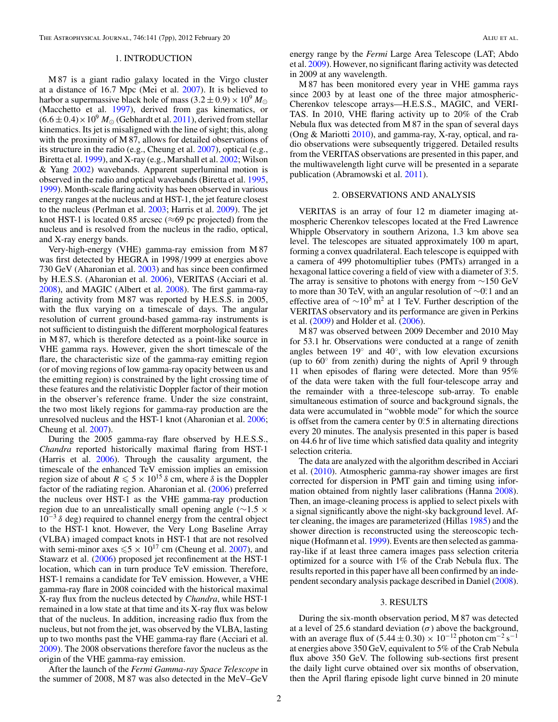#### 1. INTRODUCTION

M 87 is a giant radio galaxy located in the Virgo cluster at a distance of 16.7 Mpc (Mei et al. [2007\)](#page-7-0). It is believed to harbor a supermassive black hole of mass  $(3.2 \pm 0.9) \times 10^9 M_{\odot}$ (Macchetto et al. [1997\)](#page-7-0), derived from gas kinematics, or  $(6.6 \pm 0.4) \times 10^9$   $M_{\odot}$  (Gebhardt et al. [2011\)](#page-7-0), derived from stellar kinematics. Its jet is misaligned with the line of sight; this, along with the proximity of M 87, allows for detailed observations of its structure in the radio (e.g., Cheung et al. [2007\)](#page-7-0), optical (e.g., Biretta et al. [1999\)](#page-7-0), and X-ray (e.g., Marshall et al. [2002;](#page-7-0) Wilson & Yang [2002\)](#page-7-0) wavebands. Apparent superluminal motion is observed in the radio and optical wavebands (Biretta et al. [1995,](#page-7-0) [1999\)](#page-7-0). Month-scale flaring activity has been observed in various energy ranges at the nucleus and at HST-1, the jet feature closest to the nucleus (Perlman et al. [2003;](#page-7-0) Harris et al. [2009\)](#page-7-0). The jet knot HST-1 is located 0.85 arcsec ( $\approx$ 69 pc projected) from the nucleus and is resolved from the nucleus in the radio, optical, and X-ray energy bands.

Very-high-energy (VHE) gamma-ray emission from M 87 was first detected by HEGRA in 1998*/*1999 at energies above 730 GeV (Aharonian et al. [2003\)](#page-7-0) and has since been confirmed by H.E.S.S. (Aharonian et al. [2006\)](#page-7-0), VERITAS (Acciari et al. [2008\)](#page-7-0), and MAGIC (Albert et al. [2008\)](#page-7-0). The first gamma-ray flaring activity from M 87 was reported by H.E.S.S. in 2005, with the flux varying on a timescale of days. The angular resolution of current ground-based gamma-ray instruments is not sufficient to distinguish the different morphological features in M 87, which is therefore detected as a point-like source in VHE gamma rays. However, given the short timescale of the flare, the characteristic size of the gamma-ray emitting region (or of moving regions of low gamma-ray opacity between us and the emitting region) is constrained by the light crossing time of these features and the relativistic Doppler factor of their motion in the observer's reference frame. Under the size constraint, the two most likely regions for gamma-ray production are the unresolved nucleus and the HST-1 knot (Aharonian et al. [2006;](#page-7-0) Cheung et al. [2007\)](#page-7-0).

During the 2005 gamma-ray flare observed by H.E.S.S., *Chandra* reported historically maximal flaring from HST-1 (Harris et al. [2006\)](#page-7-0). Through the causality argument, the timescale of the enhanced TeV emission implies an emission region size of about  $R \le 5 \times 10^{15} \delta$  cm, where  $\delta$  is the Doppler factor of the radiating region. Aharonian et al. [\(2006\)](#page-7-0) preferred the nucleus over HST-1 as the VHE gamma-ray production region due to an unrealistically small opening angle (∼1*.*5 × 10−<sup>3</sup> *δ* deg) required to channel energy from the central object to the HST-1 knot. However, the Very Long Baseline Array (VLBA) imaged compact knots in HST-1 that are not resolved with semi-minor axes  $\leq 5 \times 10^{17}$  cm (Cheung et al. [2007\)](#page-7-0), and Stawarz et al. [\(2006\)](#page-7-0) proposed jet reconfinement at the HST-1 location, which can in turn produce TeV emission. Therefore, HST-1 remains a candidate for TeV emission. However, a VHE gamma-ray flare in 2008 coincided with the historical maximal X-ray flux from the nucleus detected by *Chandra*, while HST-1 remained in a low state at that time and its X-ray flux was below that of the nucleus. In addition, increasing radio flux from the nucleus, but not from the jet, was observed by the VLBA, lasting up to two months past the VHE gamma-ray flare (Acciari et al. [2009\)](#page-7-0). The 2008 observations therefore favor the nucleus as the origin of the VHE gamma-ray emission.

After the launch of the *Fermi Gamma-ray Space Telescope* in the summer of 2008, M 87 was also detected in the MeV–GeV

energy range by the *Fermi* Large Area Telescope (LAT; Abdo et al. [2009\)](#page-7-0). However, no significant flaring activity was detected in 2009 at any wavelength.

M 87 has been monitored every year in VHE gamma rays since 2003 by at least one of the three major atmospheric-Cherenkov telescope arrays—H.E.S.S., MAGIC, and VERI-TAS. In 2010, VHE flaring activity up to 20% of the Crab Nebula flux was detected from M 87 in the span of several days (Ong & Mariotti [2010\)](#page-7-0), and gamma-ray, X-ray, optical, and radio observations were subsequently triggered. Detailed results from the VERITAS observations are presented in this paper, and the multiwavelength light curve will be presented in a separate publication (Abramowski et al. [2011\)](#page-7-0).

#### 2. OBSERVATIONS AND ANALYSIS

VERITAS is an array of four 12 m diameter imaging atmospheric Cherenkov telescopes located at the Fred Lawrence Whipple Observatory in southern Arizona, 1.3 km above sea level. The telescopes are situated approximately 100 m apart, forming a convex quadrilateral. Each telescope is equipped with a camera of 499 photomultiplier tubes (PMTs) arranged in a hexagonal lattice covering a field of view with a diameter of 3°.5. The array is sensitive to photons with energy from  $\sim$ 150 GeV to more than 30 TeV, with an angular resolution of ∼0<sup>°</sup>. 1 and an effective area of  $\sim 10^5$  m<sup>2</sup> at 1 TeV. Further description of the VERITAS observatory and its performance are given in Perkins et al. [\(2009\)](#page-7-0) and Holder et al. [\(2006\)](#page-7-0).

M 87 was observed between 2009 December and 2010 May for 53.1 hr. Observations were conducted at a range of zenith angles between 19◦ and 40◦, with low elevation excursions (up to  $60^\circ$  from zenith) during the nights of April 9 through 11 when episodes of flaring were detected. More than 95% of the data were taken with the full four-telescope array and the remainder with a three-telescope sub-array. To enable simultaneous estimation of source and background signals, the data were accumulated in "wobble mode" for which the source is offset from the camera center by  $0^\circ$ .5 in alternating directions every 20 minutes. The analysis presented in this paper is based on 44.6 hr of live time which satisfied data quality and integrity selection criteria.

The data are analyzed with the algorithm described in Acciari et al. [\(2010\)](#page-7-0). Atmospheric gamma-ray shower images are first corrected for dispersion in PMT gain and timing using information obtained from nightly laser calibrations (Hanna [2008\)](#page-7-0). Then, an image-cleaning process is applied to select pixels with a signal significantly above the night-sky background level. After cleaning, the images are parameterized (Hillas [1985\)](#page-7-0) and the shower direction is reconstructed using the stereoscopic technique (Hofmann et al. [1999\)](#page-7-0). Events are then selected as gammaray-like if at least three camera images pass selection criteria optimized for a source with 1% of the Crab Nebula flux. The results reported in this paper have all been confirmed by an independent secondary analysis package described in Daniel [\(2008\)](#page-7-0).

#### 3. RESULTS

During the six-month observation period, M 87 was detected at a level of 25.6 standard deviation  $(\sigma)$  above the background, with an average flux of  $(5.44 \pm 0.30) \times 10^{-12}$  photon cm<sup>-2</sup> s<sup>-1</sup> at energies above 350 GeV, equivalent to 5% of the Crab Nebula flux above 350 GeV. The following sub-sections first present the daily light curve obtained over six months of observation, then the April flaring episode light curve binned in 20 minute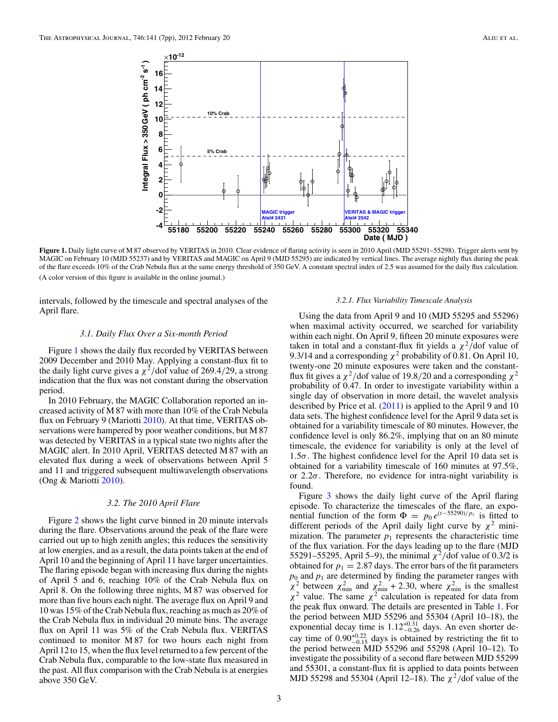

Figure 1. Daily light curve of M 87 observed by VERITAS in 2010. Clear evidence of flaring activity is seen in 2010 April (MJD 55291–55298). Trigger alerts sent by MAGIC on February 10 (MJD 55237) and by VERITAS and MAGIC on April 9 (MJD 55295) are indicated by vertical lines. The average nightly flux during the peak of the flare exceeds 10% of the Crab Nebula flux at the same energy threshold of 350 GeV. A constant spectral index of 2.5 was assumed for the daily flux calculation. (A color version of this figure is available in the online journal.)

intervals, followed by the timescale and spectral analyses of the April flare.

#### *3.1. Daily Flux Over a Six-month Period*

Figure 1 shows the daily flux recorded by VERITAS between 2009 December and 2010 May. Applying a constant-flux fit to the daily light curve gives a  $\chi^2$ /dof value of 269.4/29, a strong indication that the flux was not constant during the observation period.

In 2010 February, the MAGIC Collaboration reported an increased activity of M 87 with more than 10% of the Crab Nebula flux on February 9 (Mariotti [2010\)](#page-7-0). At that time, VERITAS observations were hampered by poor weather conditions, but M 87 was detected by VERITAS in a typical state two nights after the MAGIC alert. In 2010 April, VERITAS detected M 87 with an elevated flux during a week of observations between April 5 and 11 and triggered subsequent multiwavelength observations (Ong & Mariotti [2010\)](#page-7-0).

#### *3.2. The 2010 April Flare*

Figure [2](#page-4-0) shows the light curve binned in 20 minute intervals during the flare. Observations around the peak of the flare were carried out up to high zenith angles; this reduces the sensitivity at low energies, and as a result, the data points taken at the end of April 10 and the beginning of April 11 have larger uncertainties. The flaring episode began with increasing flux during the nights of April 5 and 6, reaching 10% of the Crab Nebula flux on April 8. On the following three nights, M 87 was observed for more than five hours each night. The average flux on April 9 and 10 was 15% of the Crab Nebula flux, reaching as much as 20% of the Crab Nebula flux in individual 20 minute bins. The average flux on April 11 was 5% of the Crab Nebula flux. VERITAS continued to monitor M 87 for two hours each night from April 12 to 15, when the flux level returned to a few percent of the Crab Nebula flux, comparable to the low-state flux measured in the past. All flux comparison with the Crab Nebula is at energies above 350 GeV.

#### *3.2.1. Flux Variability Timescale Analysis*

Using the data from April 9 and 10 (MJD 55295 and 55296) when maximal activity occurred, we searched for variability within each night. On April 9, fifteen 20 minute exposures were taken in total and a constant-flux fit yields a  $\chi^2$ /dof value of 9.3/14 and a corresponding  $\chi^2$  probability of 0.81. On April 10, twenty-one 20 minute exposures were taken and the constantflux fit gives a  $\chi^2$ /dof value of 19.8/20 and a corresponding  $\chi^2$ probability of 0.47. In order to investigate variability within a single day of observation in more detail, the wavelet analysis described by Price et al. [\(2011\)](#page-7-0) is applied to the April 9 and 10 data sets. The highest confidence level for the April 9 data set is obtained for a variability timescale of 80 minutes. However, the confidence level is only 86.2%, implying that on an 80 minute timescale, the evidence for variability is only at the level of 1*.*5*σ*. The highest confidence level for the April 10 data set is obtained for a variability timescale of 160 minutes at 97.5%, or 2*.*2*σ*. Therefore, no evidence for intra-night variability is found.

Figure [3](#page-5-0) shows the daily light curve of the April flaring episode. To characterize the timescales of the flare, an exponential function of the form  $\Phi = p_0 e^{(t-55290)/p_1}$  is fitted to different periods of the April daily light curve by  $\chi^2$  minimization. The parameter  $p_1$  represents the characteristic time of the flux variation. For the days leading up to the flare (MJD 55291–55295, April 5–9), the minimal *χ*<sup>2</sup>*/*dof value of 0.3/2 is obtained for  $p_1 = 2.87$  days. The error bars of the fit parameters  $p_0$  and  $p_1$  are determined by finding the parameter ranges with  $\chi^2$  between  $\chi^2_{\text{min}}$  and  $\chi^2_{\text{min}}$  + 2.30, where  $\chi^2_{\text{min}}$  is the smallest  $\chi^2$  value. The same  $\chi^2$  calculation is repeated for data from the peak flux onward. The details are presented in Table [1.](#page-4-0) For the period between MJD 55296 and 55304 (April 10–18), the exponential decay time is  $1.12_{-0.26}^{+0.31}$  days. An even shorter decay time of  $0.90^{+0.22}_{-0.15}$  days is obtained by restricting the fit to the period between MJD 55296 and 55298 (April 10–12). To investigate the possibility of a second flare between MJD 55299 and 55301, a constant-flux fit is applied to data points between MJD 55298 and 55304 (April 12–18). The *χ*<sup>2</sup>*/*dof value of the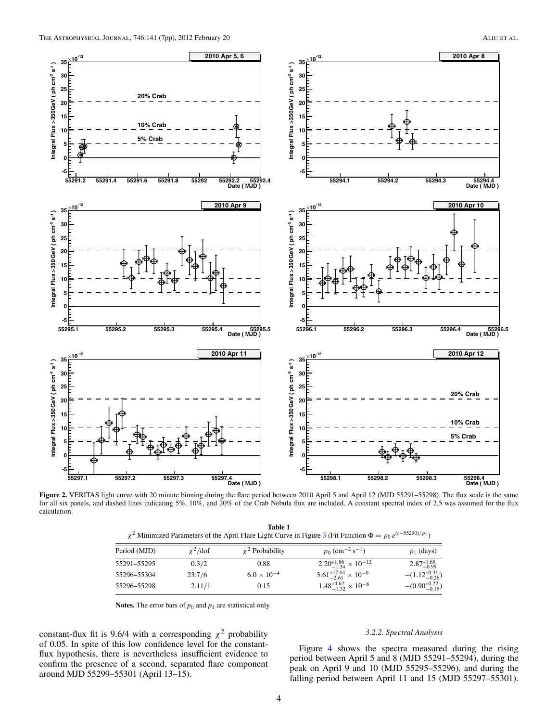<span id="page-4-0"></span>

**Figure 2.** VERITAS light curve with 20 minute binning during the flare period between 2010 April 5 and April 12 (MJD 55291–55298). The flux scale is the same for all six panels, and dashed lines indicating 5%, 10%, and 20% of the Crab Nebula flux are included. A constant spectral index of 2.5 was assumed for the flux calculation.

| Table 1                                                                                                                 |  |  |  |  |  |  |
|-------------------------------------------------------------------------------------------------------------------------|--|--|--|--|--|--|
| $\chi^2$ Minimized Parameters of the April Flare Light Curve in Figure 3 (Fit Function $\Phi = p_0 e^{(t-55290)/p_1}$ ) |  |  |  |  |  |  |

| Period (MJD) | $\chi^2$ /dof | $\chi^2$ Probability | $p_0$ (cm <sup>-2</sup> s <sup>-1</sup> ) | $p_1$ (days)              |
|--------------|---------------|----------------------|-------------------------------------------|---------------------------|
| 55291-55295  | 0.3/2         | 0.88                 | $2.20_{-1.34}^{+1.86} \times 10^{-12}$    | $2.87^{+1.65}_{-0.99}$    |
| 55296-55304  | 23.7/6        | $6.0 \times 10^{-4}$ | $3.61_{-2.61}^{+17.64} \times 10^{-9}$    | $-(1.12_{-0.26}^{+0.31})$ |
| 55296-55298  | 2.11/1        | 0.15                 | $1.48_{-1.32}^{+4.62} \times 10^{-8}$     | $-(0.90^{+0.22}_{-0.15})$ |

**Notes.** The error bars of  $p_0$  and  $p_1$  are statistical only.

constant-flux fit is 9.6/4 with a corresponding  $\chi^2$  probability of 0.05. In spite of this low confidence level for the constantflux hypothesis, there is nevertheless insufficient evidence to confirm the presence of a second, separated flare component around MJD 55299–55301 (April 13–15).

### *3.2.2. Spectral Analysis*

Figure [4](#page-5-0) shows the spectra measured during the rising period between April 5 and 8 (MJD 55291–55294), during the peak on April 9 and 10 (MJD 55295–55296), and during the falling period between April 11 and 15 (MJD 55297–55301).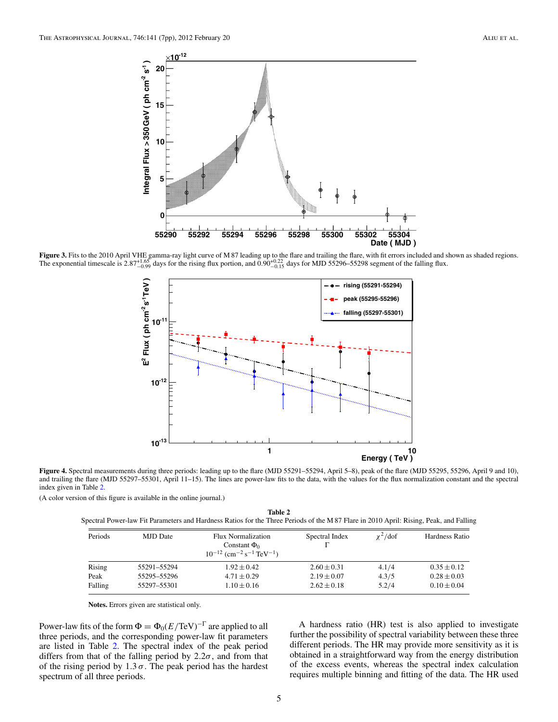<span id="page-5-0"></span>

**Figure 3.** Fits to the 2010 April VHE gamma-ray light curve of M 87 leading up to the flare and trailing the flare, with fit errors included and shown as shaded regions.<br>The exponential timescale is  $2.87^{+1.65}_{-0.99}$  d



**Figure 4.** Spectral measurements during three periods: leading up to the flare (MJD 55291–55294, April 5–8), peak of the flare (MJD 55295, 55296, April 9 and 10), and trailing the flare (MJD 55297–55301, April 11–15). The lines are power-law fits to the data, with the values for the flux normalization constant and the spectral index given in Table 2.

(A color version of this figure is available in the online journal.)

**Table 2** Spectral Power-law Fit Parameters and Hardness Ratios for the Three Periods of the M 87 Flare in 2010 April: Rising, Peak, and Falling

| Periods | <b>MJD</b> Date | Flux Normalization<br>Constant $\Phi_0$<br>$10^{-12}$ (cm <sup>-2</sup> s <sup>-1</sup> TeV <sup>-1</sup> ) | Spectral Index  | $\chi^2$ /dof | Hardness Ratio  |
|---------|-----------------|-------------------------------------------------------------------------------------------------------------|-----------------|---------------|-----------------|
| Rising  | 55291-55294     | $1.92 \pm 0.42$                                                                                             | $2.60 \pm 0.31$ | 4.1/4         | $0.35 \pm 0.12$ |
| Peak    | 55295-55296     | $4.71 \pm 0.29$                                                                                             | $2.19 \pm 0.07$ | 4.3/5         | $0.28 \pm 0.03$ |
| Falling | 55297-55301     | $1.10 \pm 0.16$                                                                                             | $2.62 \pm 0.18$ | 5.2/4         | $0.10 \pm 0.04$ |

**Notes.** Errors given are statistical only.

Power-law fits of the form  $\Phi = \Phi_0 (E/\text{TeV})^{-\Gamma}$  are applied to all three periods, and the corresponding power-law fit parameters are listed in Table 2. The spectral index of the peak period differs from that of the falling period by  $2.2\sigma$ , and from that of the rising period by  $1.3 \sigma$ . The peak period has the hardest spectrum of all three periods.

A hardness ratio (HR) test is also applied to investigate further the possibility of spectral variability between these three different periods. The HR may provide more sensitivity as it is obtained in a straightforward way from the energy distribution of the excess events, whereas the spectral index calculation requires multiple binning and fitting of the data. The HR used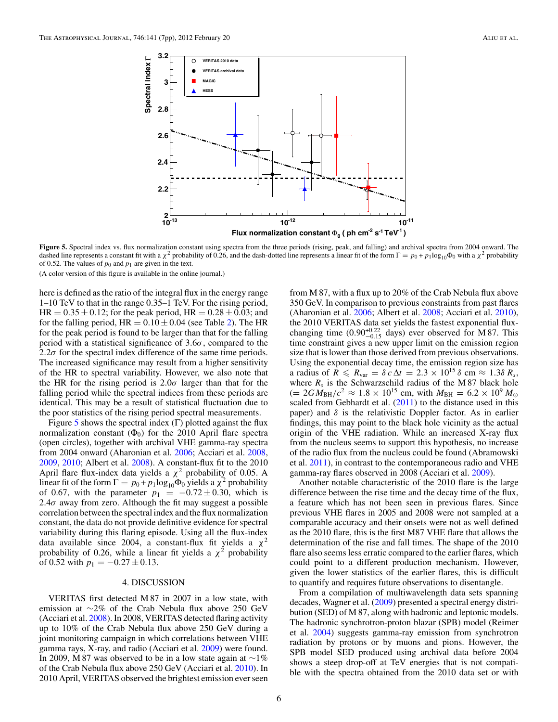

**Figure 5.** Spectral index vs. flux normalization constant using spectra from the three periods (rising, peak, and falling) and archival spectra from 2004 onward. The dashed line represents a constant fit with a  $\chi^2$  probability of 0.26, and the dash-dotted line represents a linear fit of the form  $\Gamma = p_0 + p_1 \log_{10} \Phi_0$  with a  $\chi^2$  probability of 0.52. The values of  $p_0$  and  $p_1$  are given in the text.

(A color version of this figure is available in the online journal.)

here is defined as the ratio of the integral flux in the energy range 1–10 TeV to that in the range 0*.*35–1 TeV. For the rising period,  $HR = 0.35 \pm 0.12$ ; for the peak period,  $HR = 0.28 \pm 0.03$ ; and for the falling period,  $HR = 0.10 \pm 0.04$  (see Table [2\)](#page-5-0). The HR for the peak period is found to be larger than that for the falling period with a statistical significance of 3*.*6*σ*, compared to the 2.2 $\sigma$  for the spectral index difference of the same time periods. The increased significance may result from a higher sensitivity of the HR to spectral variability. However, we also note that the HR for the rising period is 2*.*0*σ* larger than that for the falling period while the spectral indices from these periods are identical. This may be a result of statistical fluctuation due to the poor statistics of the rising period spectral measurements.

Figure 5 shows the spectral index  $(\Gamma)$  plotted against the flux normalization constant  $(\Phi_0)$  for the 2010 April flare spectra (open circles), together with archival VHE gamma-ray spectra from 2004 onward (Aharonian et al. [2006;](#page-7-0) Acciari et al. [2008,](#page-7-0) [2009,](#page-7-0) [2010;](#page-7-0) Albert et al. [2008\)](#page-7-0). A constant-flux fit to the 2010 April flare flux-index data yields a  $\chi^2$  probability of 0.05. A linear fit of the form  $\Gamma = p_0 + p_1 \log_{10} \Phi_0$  yields a  $\chi^2$  probability of 0.67, with the parameter  $p_1 = -0.72 \pm 0.30$ , which is 2*.*4*σ* away from zero. Although the fit may suggest a possible correlation between the spectral index and the flux normalization constant, the data do not provide definitive evidence for spectral variability during this flaring episode. Using all the flux-index data available since 2004, a constant-flux fit yields a  $\chi^2$ probability of 0.26, while a linear fit yields a  $\chi^2$  probability of 0.52 with  $p_1 = -0.27 \pm 0.13$ .

#### 4. DISCUSSION

VERITAS first detected M 87 in 2007 in a low state, with emission at ∼2% of the Crab Nebula flux above 250 GeV (Acciari et al. [2008\)](#page-7-0). In 2008, VERITAS detected flaring activity up to 10% of the Crab Nebula flux above 250 GeV during a joint monitoring campaign in which correlations between VHE gamma rays, X-ray, and radio (Acciari et al. [2009\)](#page-7-0) were found. In 2009, M 87 was observed to be in a low state again at ∼1% of the Crab Nebula flux above 250 GeV (Acciari et al. [2010\)](#page-7-0). In 2010 April, VERITAS observed the brightest emission ever seen

from M 87, with a flux up to 20% of the Crab Nebula flux above 350 GeV. In comparison to previous constraints from past flares (Aharonian et al. [2006;](#page-7-0) Albert et al. [2008;](#page-7-0) Acciari et al. [2010\)](#page-7-0), the 2010 VERITAS data set yields the fastest exponential fluxchanging time  $(0.90^{+0.22}_{-0.15}$  days) ever observed for M 87. This time constraint gives a new upper limit on the emission region size that is lower than those derived from previous observations. Using the exponential decay time, the emission region size has a radius of  $\bar{R} \le R_{var} = \delta c \Delta t = 2.3 \times 10^{15} \delta \text{ cm} \approx 1.3 \delta R_s$ , where  $R_s$  is the Schwarzschild radius of the M 87 black hole  $(= 2GM_{BH}/c^2 \approx 1.8 \times 10^{15}$  cm, with  $M_{BH} = 6.2 \times 10^9$   $M_{\odot}$ scaled from Gebhardt et al. [\(2011\)](#page-7-0) to the distance used in this paper) and  $\delta$  is the relativistic Doppler factor. As in earlier findings, this may point to the black hole vicinity as the actual origin of the VHE radiation. While an increased X-ray flux from the nucleus seems to support this hypothesis, no increase of the radio flux from the nucleus could be found (Abramowski et al. [2011\)](#page-7-0), in contrast to the contemporaneous radio and VHE gamma-ray flares observed in 2008 (Acciari et al. [2009\)](#page-7-0).

Another notable characteristic of the 2010 flare is the large difference between the rise time and the decay time of the flux, a feature which has not been seen in previous flares. Since previous VHE flares in 2005 and 2008 were not sampled at a comparable accuracy and their onsets were not as well defined as the 2010 flare, this is the first M87 VHE flare that allows the determination of the rise and fall times. The shape of the 2010 flare also seems less erratic compared to the earlier flares, which could point to a different production mechanism. However, given the lower statistics of the earlier flares, this is difficult to quantify and requires future observations to disentangle.

From a compilation of multiwavelength data sets spanning decades, Wagner et al. [\(2009\)](#page-7-0) presented a spectral energy distribution (SED) of M 87, along with hadronic and leptonic models. The hadronic synchrotron-proton blazar (SPB) model (Reimer et al. [2004\)](#page-7-0) suggests gamma-ray emission from synchrotron radiation by protons or by muons and pions. However, the SPB model SED produced using archival data before 2004 shows a steep drop-off at TeV energies that is not compatible with the spectra obtained from the 2010 data set or with